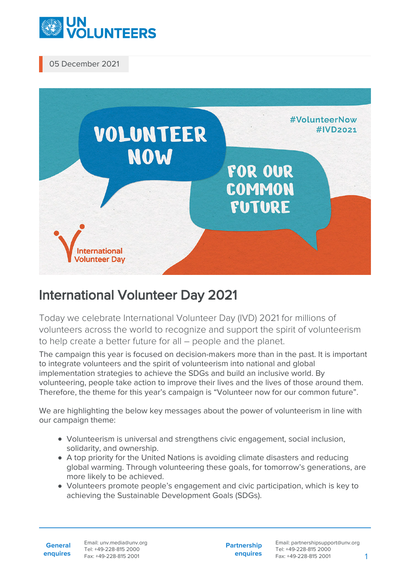

05 December 2021



## International Volunteer Day 2021

Today we celebrate International Volunteer Day (IVD) 2021 for millions of volunteers across the world to recognize and support the spirit of volunteerism to help create a better future for all – people and the planet.

The campaign this year is focused on decision-makers more than in the past. It is important to integrate volunteers and the spirit of volunteerism into national and global implementation strategies to achieve the SDGs and build an inclusive world. By volunteering, people take action to improve their lives and the lives of those around them. Therefore, the theme for this year's campaign is "Volunteer now for our common future".

We are highlighting the below key messages about the power of volunteerism in line with our campaign theme:

- Volunteerism is universal and strengthens civic engagement, social inclusion, solidarity, and ownership.
- A top priority for the United Nations is avoiding climate disasters and reducing global warming. Through volunteering these goals, for tomorrow's generations, are more likely to be achieved.
- Volunteers promote people's engagement and civic participation, which is key to achieving the Sustainable Development Goals (SDGs).

**General enquires**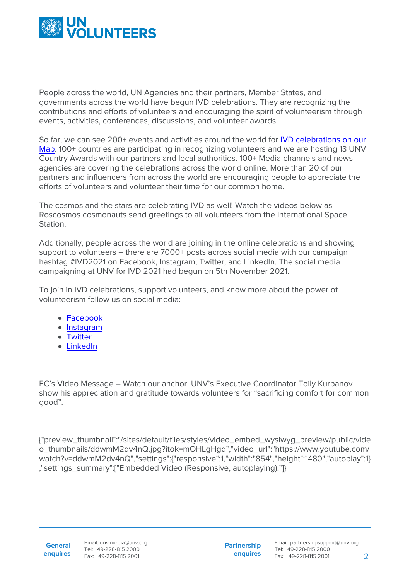

People across the world, UN Agencies and their partners, Member States, and governments across the world have begun IVD celebrations. They are recognizing the contributions and efforts of volunteers and encouraging the spirit of volunteerism through events, activities, conferences, discussions, and volunteer awards.

So far, we can see 200+ events and activities around the world for [IVD celebrations on our](https://www.google.com/maps/d/u/1/viewer?mid=1hZmifRhmztz9n_ickHEvQYLz4W_foY4z&ll=47.35238103761297%2C24.53271596783442&z=4) [Map.](https://www.google.com/maps/d/u/1/viewer?mid=1hZmifRhmztz9n_ickHEvQYLz4W_foY4z&ll=47.35238103761297%2C24.53271596783442&z=4) 100+ countries are participating in recognizing volunteers and we are hosting 13 UNV Country Awards with our partners and local authorities. 100+ Media channels and news agencies are covering the celebrations across the world online. More than 20 of our partners and influencers from across the world are encouraging people to appreciate the efforts of volunteers and volunteer their time for our common home.

The cosmos and the stars are celebrating IVD as well! Watch the videos below as Roscosmos cosmonauts send greetings to all volunteers from the International Space Station.

Additionally, people across the world are joining in the online celebrations and showing support to volunteers – there are 7000+ posts across social media with our campaign hashtag #IVD2021 on Facebook, Instagram, Twitter, and LinkedIn. The social media campaigning at UNV for IVD 2021 had begun on 5th November 2021.

To join in IVD celebrations, support volunteers, and know more about the power of volunteerism follow us on social media:

- [Facebook](https://www.facebook.com/unvolunteers/posts/7048098915201028)
- [Instagram](https://www.instagram.com/tv/CW0qulQo6hS/)
- [Twitter](https://twitter.com/UNVolunteers/status/1465607785517883398)
- [LinkedIn](https://www.linkedin.com/company/united-nations-volunteers?trk=public_post_share-update_actor-image)

EC's Video Message – Watch our anchor, UNV's Executive Coordinator Toily Kurbanov show his appreciation and gratitude towards volunteers for "sacrificing comfort for common good".

{"preview\_thumbnail":"/sites/default/files/styles/video\_embed\_wysiwyg\_preview/public/vide o\_thumbnails/ddwmM2dv4nQ.jpg?itok=mOHLgHgq","video\_url":"https://www.youtube.com/ watch?v=ddwmM2dv4nQ","settings":{"responsive":1,"width":"854","height":"480","autoplay":1} ,"settings\_summary":["Embedded Video (Responsive, autoplaying)."]}

**Partnership enquires**